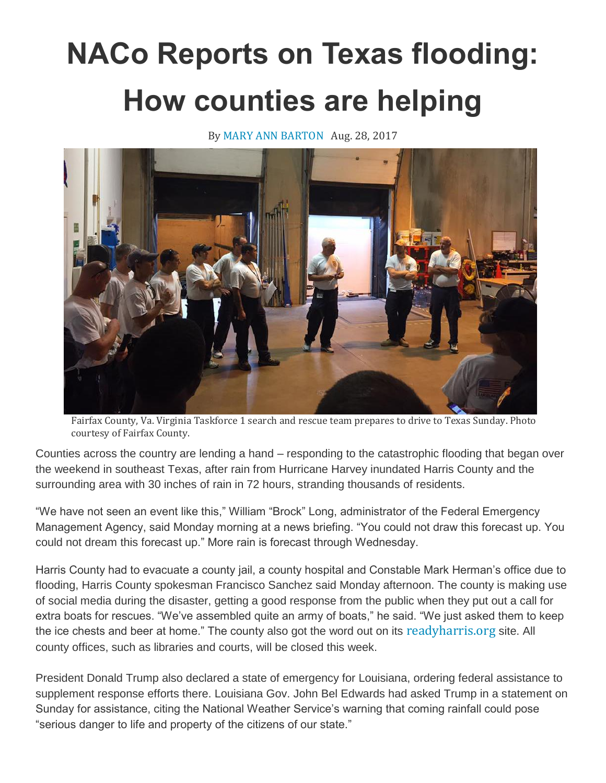## **NACo Reports on Texas flooding: How counties are helping**

By MARY ANN [BARTON](http://www.naco.org/people/mary-ann-barton) Aug. 28, 2017



Fairfax County, Va. Virginia Taskforce 1 search and rescue team prepares to drive to Texas Sunday. Photo courtesy of Fairfax County.

Counties across the country are lending a hand – responding to the catastrophic flooding that began over the weekend in southeast Texas, after rain from Hurricane Harvey inundated Harris County and the surrounding area with 30 inches of rain in 72 hours, stranding thousands of residents.

"We have not seen an event like this," William "Brock" Long, administrator of the Federal Emergency Management Agency, said Monday morning at a news briefing. "You could not draw this forecast up. You could not dream this forecast up." More rain is forecast through Wednesday.

Harris County had to evacuate a county jail, a county hospital and Constable Mark Herman's office due to flooding, Harris County spokesman Francisco Sanchez said Monday afternoon. The county is making use of social media during the disaster, getting a good response from the public when they put out a call for extra boats for rescues. "We've assembled quite an army of boats," he said. "We just asked them to keep the ice chests and beer at home." The county also got the word out on its [readyharris.org](http://www.readyharris.org/) site. All county offices, such as libraries and courts, will be closed this week.

President Donald Trump also declared a state of emergency for Louisiana, ordering federal assistance to supplement response efforts there. Louisiana Gov. John Bel Edwards had asked Trump in a statement on Sunday for assistance, citing the National Weather Service's warning that coming rainfall could pose "serious danger to life and property of the citizens of our state."